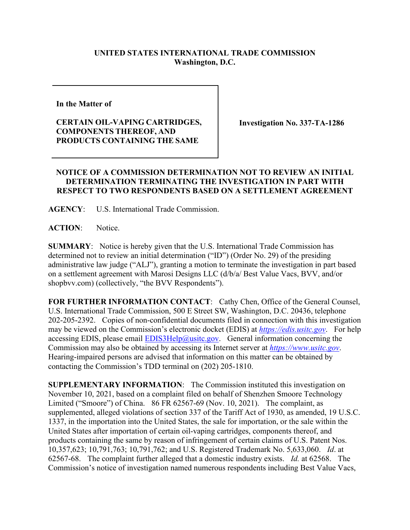## **UNITED STATES INTERNATIONAL TRADE COMMISSION Washington, D.C.**

**In the Matter of** 

## **CERTAIN OIL-VAPING CARTRIDGES, COMPONENTS THEREOF, AND PRODUCTS CONTAINING THE SAME**

**Investigation No. 337-TA-1286**

## **NOTICE OF A COMMISSION DETERMINATION NOT TO REVIEW AN INITIAL DETERMINATION TERMINATING THE INVESTIGATION IN PART WITH RESPECT TO TWO RESPONDENTS BASED ON A SETTLEMENT AGREEMENT**

**AGENCY**: U.S. International Trade Commission.

**ACTION**: Notice.

**SUMMARY**: Notice is hereby given that the U.S. International Trade Commission has determined not to review an initial determination ("ID") (Order No. 29) of the presiding administrative law judge ("ALJ"), granting a motion to terminate the investigation in part based on a settlement agreement with Marosi Designs LLC (d/b/a/ Best Value Vacs, BVV, and/or shopbvv.com) (collectively, "the BVV Respondents").

**FOR FURTHER INFORMATION CONTACT**: Cathy Chen, Office of the General Counsel, U.S. International Trade Commission, 500 E Street SW, Washington, D.C. 20436, telephone 202-205-2392. Copies of non-confidential documents filed in connection with this investigation may be viewed on the Commission's electronic docket (EDIS) at *[https://edis.usitc.gov](https://edis.usitc.gov/)*. For help accessing EDIS, please email  $\frac{EDIS3Help@ustc.gov}{EDIS3Help@ustc.gov}$ . General information concerning the Commission may also be obtained by accessing its Internet server at *[https://www.usitc.gov](https://www.usitc.gov/)*. Hearing-impaired persons are advised that information on this matter can be obtained by contacting the Commission's TDD terminal on (202) 205-1810.

**SUPPLEMENTARY INFORMATION**: The Commission instituted this investigation on November 10, 2021, based on a complaint filed on behalf of Shenzhen Smoore Technology Limited ("Smoore") of China. 86 FR 62567-69 (Nov. 10, 2021). The complaint, as supplemented, alleged violations of section 337 of the Tariff Act of 1930, as amended, 19 U.S.C. 1337, in the importation into the United States, the sale for importation, or the sale within the United States after importation of certain oil-vaping cartridges, components thereof, and products containing the same by reason of infringement of certain claims of U.S. Patent Nos. 10,357,623; 10,791,763; 10,791,762; and U.S. Registered Trademark No. 5,633,060. *Id*. at 62567-68. The complaint further alleged that a domestic industry exists. *Id.* at 62568. The Commission's notice of investigation named numerous respondents including Best Value Vacs,